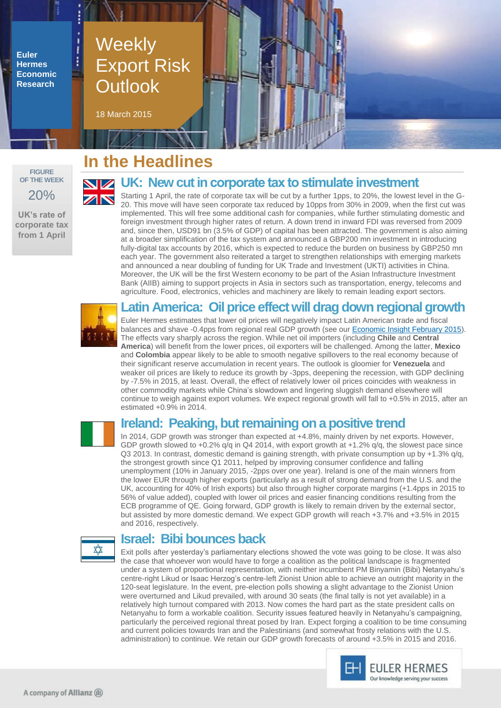**Euler Hermes Economic Research**

# **Weekly** Export Risk **Outlook**

18 March 2015



**UK's rate of corporate tax from 1 April**

## **In the Headlines**

### **UK: New cut in corporate tax to stimulate investment**

Starting 1 April, the rate of corporate tax will be cut by a further 1pps, to 20%, the lowest level in the G-20. This move will have seen corporate tax reduced by 10pps from 30% in 2009, when the first cut was implemented. This will free some additional cash for companies, while further stimulating domestic and foreign investment through higher rates of return. A down trend in inward FDI was reversed from 2009 and, since then, USD91 bn (3.5% of GDP) of capital has been attracted. The government is also aiming at a broader simplification of the tax system and announced a GBP200 mn investment in introducing fully-digital tax accounts by 2016, which is expected to reduce the burden on business by GBP250 mn each year. The government also reiterated a target to strengthen relationships with emerging markets and announced a near doubling of funding for UK Trade and Investment (UKTI) activities in China. Moreover, the UK will be the first Western economy to be part of the Asian Infrastructure Investment Bank (AIIB) aiming to support projects in Asia in sectors such as transportation, energy, telecoms and agriculture. Food, electronics, vehicles and machinery are likely to remain leading export sectors.

### **Latin America: Oil price effect will drag down regional growth**

Euler Hermes estimates that lower oil prices will negatively impact Latin American trade and fiscal balances and shave -0.4pps from regional real GDP growth (see our [Economic Insight February 2015\)](http://www.eulerhermes.com/mediacenter/Lists/mediacenter-documents/Economic-Insight-Latin-America-fall-in-oil-prices-Feb15.pdf). The effects vary sharply across the region. While net oil importers (including **Chile** and **Central America**) will benefit from the lower prices, oil exporters will be challenged. Among the latter, **Mexico** and **Colombia** appear likely to be able to smooth negative spillovers to the real economy because of their significant reserve accumulation in recent years. The outlook is gloomier for **Venezuela** and weaker oil prices are likely to reduce its growth by -3pps, deepening the recession, with GDP declining by -7.5% in 2015, at least. Overall, the effect of relatively lower oil prices coincides with weakness in other commodity markets while China's slowdown and lingering sluggish demand elsewhere will continue to weigh against export volumes. We expect regional growth will fall to +0.5% in 2015, after an estimated +0.9% in 2014.

### **Ireland: Peaking, but remaining on a positive trend**

In 2014, GDP growth was stronger than expected at +4.8%, mainly driven by net exports. However, GDP growth slowed to  $+0.2\%$  q/q in Q4 2014, with export growth at  $+1.2\%$  q/q, the slowest pace since Q3 2013. In contrast, domestic demand is gaining strength, with private consumption up by +1.3% q/q, the strongest growth since Q1 2011, helped by improving consumer confidence and falling unemployment (10% in January 2015, -2pps over one year). Ireland is one of the main winners from the lower EUR through higher exports (particularly as a result of strong demand from the U.S. and the UK, accounting for 40% of Irish exports) but also through higher corporate margins (+1.4pps in 2015 to 56% of value added), coupled with lower oil prices and easier financing conditions resulting from the ECB programme of QE. Going forward, GDP growth is likely to remain driven by the external sector, but assisted by more domestic demand. We expect GDP growth will reach +3.7% and +3.5% in 2015 and 2016, respectively.



### **Israel: Bibi bounces back**

Exit polls after yesterday's parliamentary elections showed the vote was going to be close. It was also the case that whoever won would have to forge a coalition as the political landscape is fragmented under a system of proportional representation, with neither incumbent PM Binyamin (Bibi) Netanyahu's centre-right Likud or Isaac Herzog's centre-left Zionist Union able to achieve an outright majority in the 120-seat legislature. In the event, pre-election polls showing a slight advantage to the Zionist Union were overturned and Likud prevailed, with around 30 seats (the final tally is not yet available) in a relatively high turnout compared with 2013. Now comes the hard part as the state president calls on Netanyahu to form a workable coalition. Security issues featured heavily in Netanyahu's campaigning, particularly the perceived regional threat posed by Iran. Expect forging a coalition to be time consuming and current policies towards Iran and the Palestinians (and somewhat frosty relations with the U.S. administration) to continue. We retain our GDP growth forecasts of around +3.5% in 2015 and 2016.